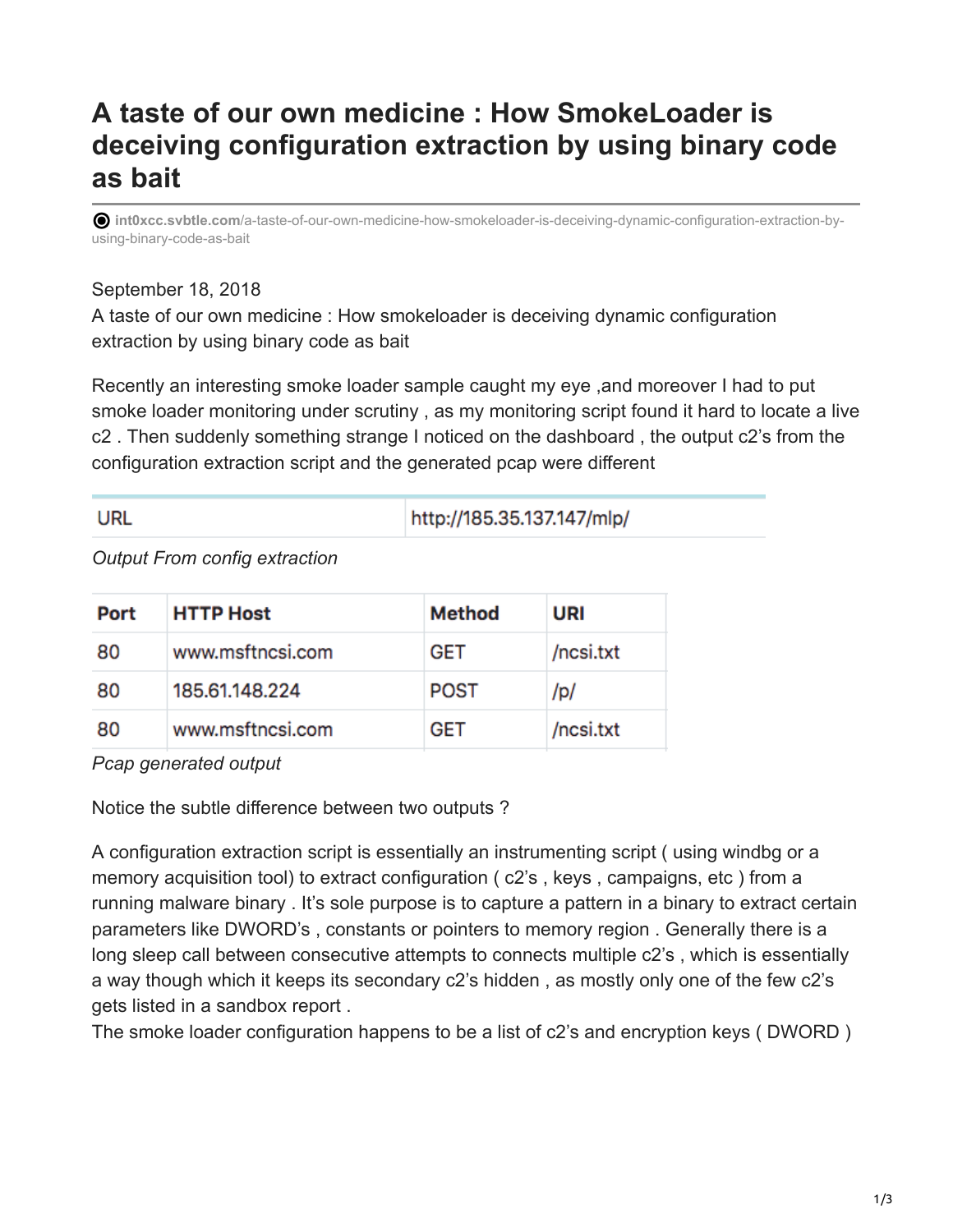## **A taste of our own medicine : How SmokeLoader is deceiving configuration extraction by using binary code as bait**

**int0xcc.svbtle.com**[/a-taste-of-our-own-medicine-how-smokeloader-is-deceiving-dynamic-configuration-extraction-by](https://int0xcc.svbtle.com/a-taste-of-our-own-medicine-how-smokeloader-is-deceiving-dynamic-configuration-extraction-by-using-binary-code-as-bait)using-binary-code-as-bait

## September 18, 2018

A taste of our own medicine : How smokeloader is deceiving dynamic configuration extraction by using binary code as bait

Recently an interesting smoke loader sample caught my eye ,and moreover I had to put smoke loader monitoring under scrutiny , as my monitoring script found it hard to locate a live c2 . Then suddenly something strange I noticed on the dashboard , the output c2's from the configuration extraction script and the generated pcap were different

| URL | http://185.35.137.147/mlp/ |
|-----|----------------------------|
|     |                            |

## *Output From config extraction*

| Port | <b>HTTP Host</b> | Method      | URI       |
|------|------------------|-------------|-----------|
| 80   | www.msftncsi.com | <b>GET</b>  | /ncsi.txt |
| 80   | 185.61.148.224   | <b>POST</b> | /p/       |
| 80   | www.msftncsi.com | <b>GET</b>  | /ncsi.txt |

*Pcap generated output*

Notice the subtle difference between two outputs ?

A configuration extraction script is essentially an instrumenting script ( using windbg or a memory acquisition tool) to extract configuration ( c2's , keys , campaigns, etc ) from a running malware binary . It's sole purpose is to capture a pattern in a binary to extract certain parameters like DWORD's , constants or pointers to memory region . Generally there is a long sleep call between consecutive attempts to connects multiple c2's , which is essentially a way though which it keeps its secondary c2's hidden , as mostly only one of the few c2's gets listed in a sandbox report .

The smoke loader configuration happens to be a list of c2's and encryption keys ( DWORD )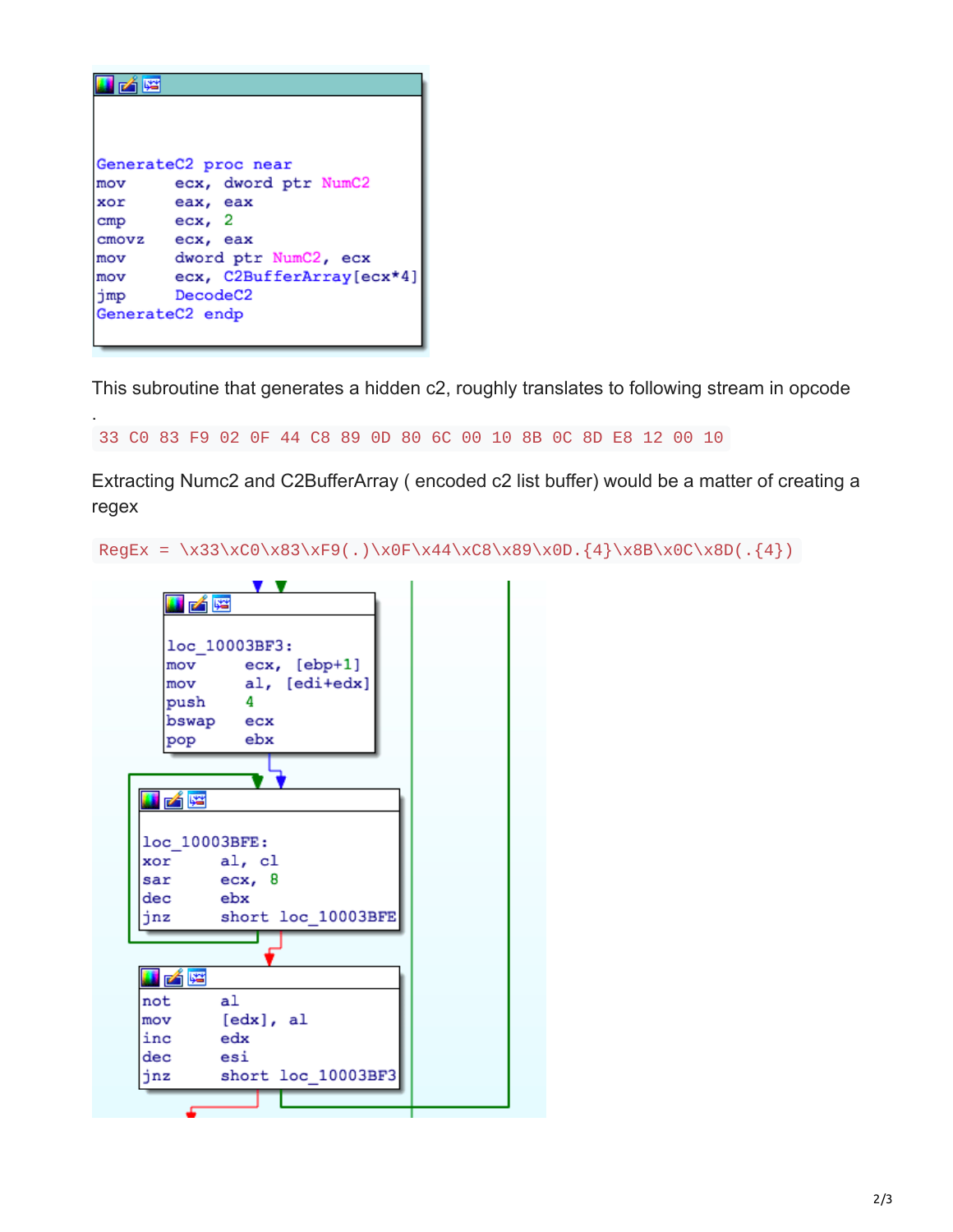|     | GenerateC2 proc near      |
|-----|---------------------------|
| mov | ecx, dword ptr NumC2      |
| xor | eax, eax                  |
| cmp | ecx, 2                    |
|     | cmovz ecx, eax            |
| mov | dword ptr NumC2, ecx      |
| mov | ecx, C2BufferArray[ecx*4] |
| jmp | DecodeC <sub>2</sub>      |
|     | GenerateC2 endp           |
|     |                           |

.

This subroutine that generates a hidden c2, roughly translates to following stream in opcode

```
33 C0 83 F9 02 0F 44 C8 89 0D 80 6C 00 10 8B 0C 8D E8 12 00 10
```
Extracting Numc2 and C2BufferArray ( encoded c2 list buffer) would be a matter of creating a regex

RegEx = \x33\xC0\x83\xF9(.)\x0F\x44\xC8\x89\x0D.{4}\x8B\x0C\x8D(.{4})